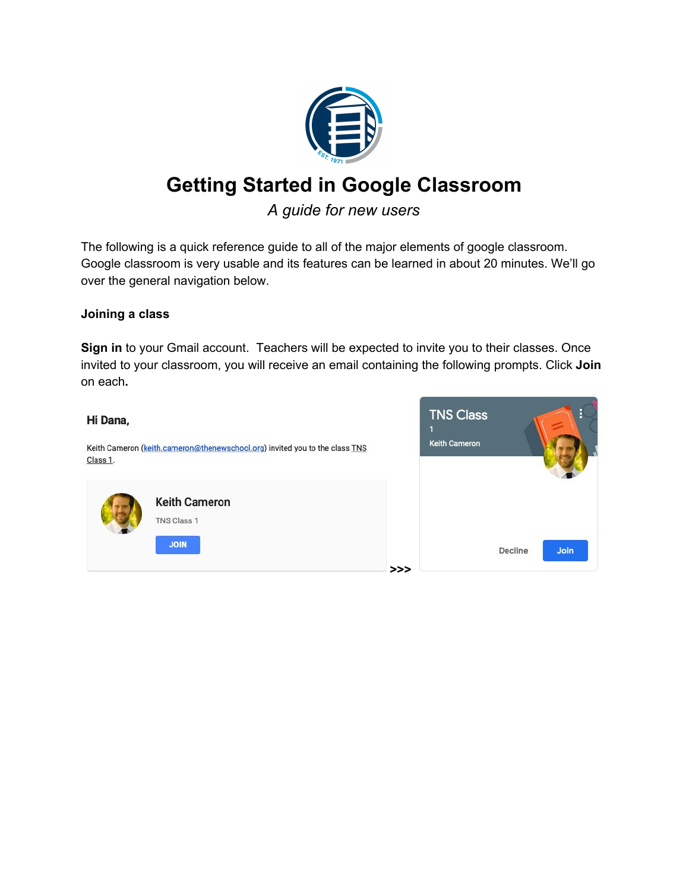

# **Getting Started in Google Classroom**

# *A guide for new users*

The following is a quick reference guide to all of the major elements of google classroom. Google classroom is very usable and its features can be learned in about 20 minutes. We'll go over the general navigation below.

### **Joining a class**

**Sign in** to your Gmail account. Teachers will be expected to invite you to their classes. Once invited to your classroom, you will receive an email containing the following prompts. Click **Join** on each**.**

#### Hi Dana,

Keith Cameron (keith.cameron@thenewschool.org) invited you to the class TNS Class 1.



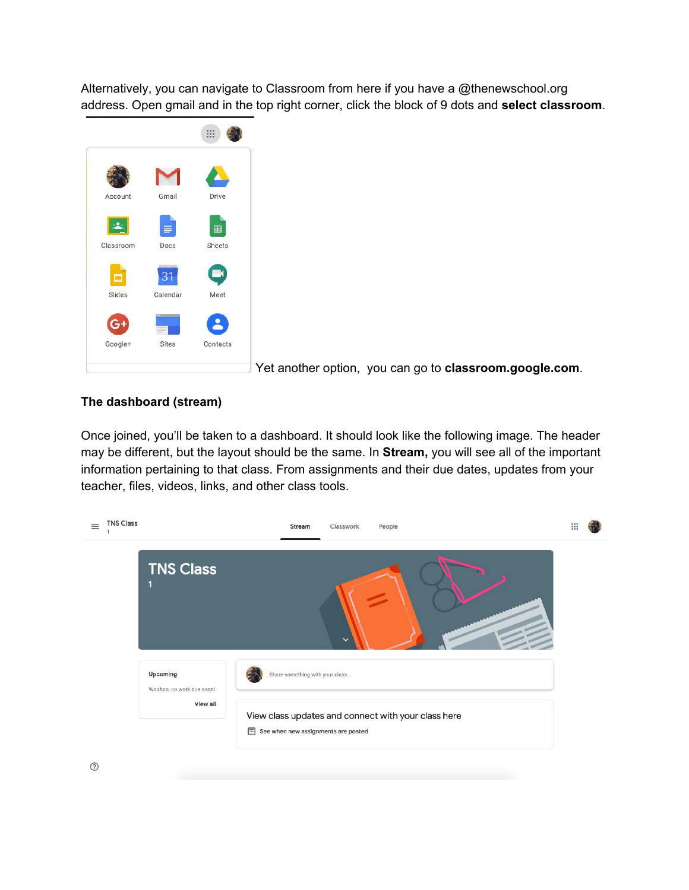Alternatively, you can navigate to Classroom from here if you have a @thenewschool.org address. Open gmail and in the top right corner, click the block of 9 dots and **select classroom**.



Yet another option, you can go to **classroom.google.com**.

## **The dashboard (stream)**

Once joined, you'll be taken to a dashboard. It should look like the following image. The header may be different, but the layout should be the same. In **Stream,** you will see all of the important information pertaining to that class. From assignments and their due dates, updates from your teacher, files, videos, links, and other class tools.



 $\odot$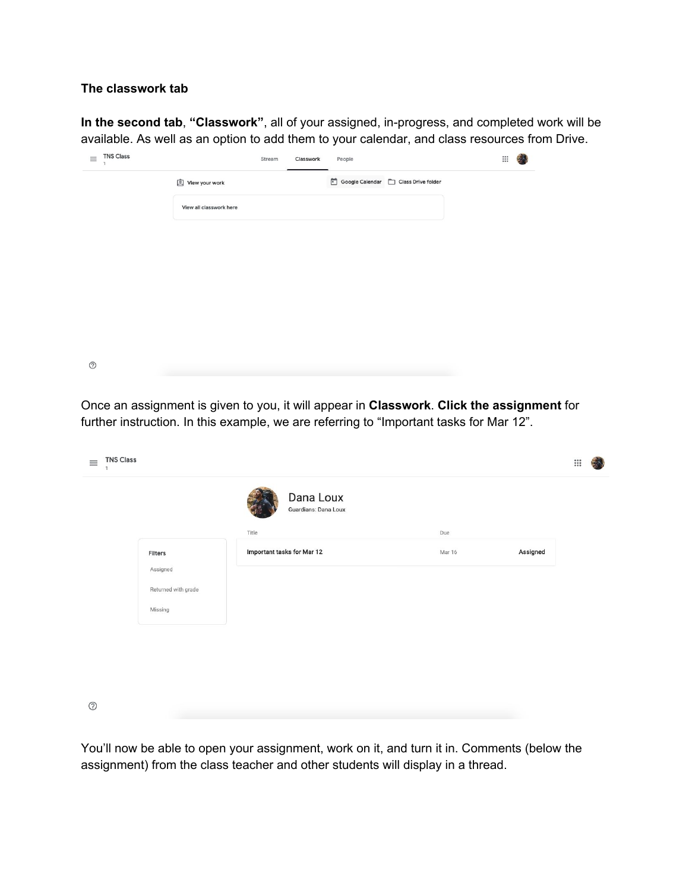#### **The classwork tab**

**In the second tab**, **"Classwork"**, all of your assigned, in-progress, and completed work will be available. As well as an option to add them to your calendar, and class resources from Drive.

| $\equiv$   | <b>TNS Class</b> |                         | Stream | Classwork | People |                                      | $\mathop{\mathbb{H}}$ |  |
|------------|------------------|-------------------------|--------|-----------|--------|--------------------------------------|-----------------------|--|
|            |                  | <b>Q</b> View your work |        |           |        | Google Calendar   Class Drive folder |                       |  |
|            |                  | View all classwork here |        |           |        |                                      |                       |  |
|            |                  |                         |        |           |        |                                      |                       |  |
|            |                  |                         |        |           |        |                                      |                       |  |
|            |                  |                         |        |           |        |                                      |                       |  |
|            |                  |                         |        |           |        |                                      |                       |  |
|            |                  |                         |        |           |        |                                      |                       |  |
|            |                  |                         |        |           |        |                                      |                       |  |
| $^{\circ}$ |                  |                         |        |           |        |                                      |                       |  |

Once an assignment is given to you, it will appear in **Classwork**. **Click the assignment** for further instruction. In this example, we are referring to "Important tasks for Mar 12".

| <b>TNS Class</b><br>$\equiv$<br>1 |                                   |        | $\mathbf{}$ |  |
|-----------------------------------|-----------------------------------|--------|-------------|--|
|                                   | Dana Loux<br>Guardians: Dana Loux |        |             |  |
|                                   | Title                             | Due    |             |  |
| Filters                           | Important tasks for Mar 12        | Mar 16 | Assigned    |  |
| Assigned                          |                                   |        |             |  |
| Returned with grade               |                                   |        |             |  |
| Missing                           |                                   |        |             |  |
|                                   |                                   |        |             |  |
|                                   |                                   |        |             |  |
|                                   |                                   |        |             |  |
|                                   |                                   |        |             |  |
| $^{\circ}$                        |                                   |        |             |  |

You'll now be able to open your assignment, work on it, and turn it in. Comments (below the assignment) from the class teacher and other students will display in a thread.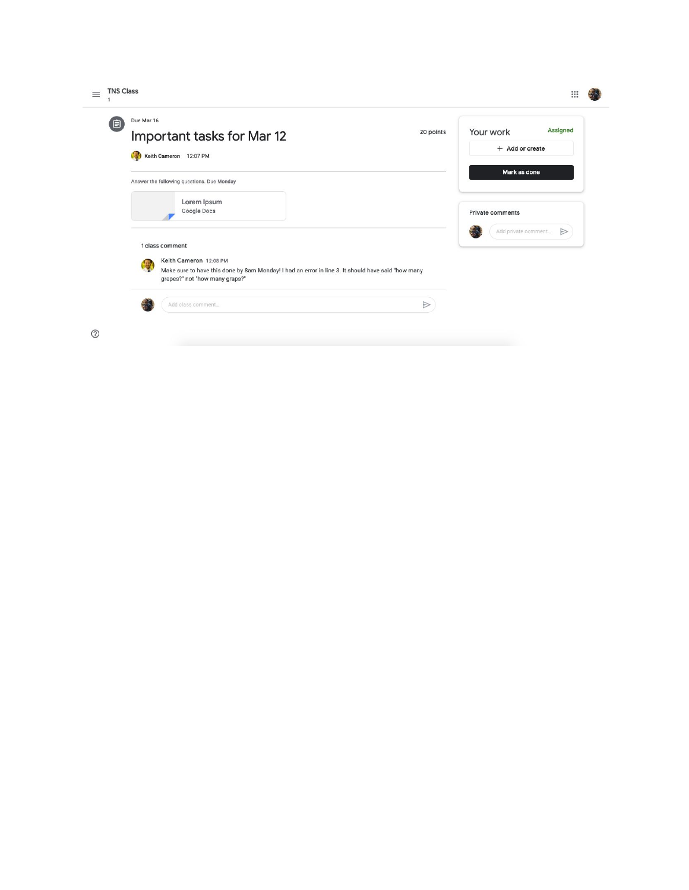| Due Mar 16<br>(自)<br>Important tasks for Mar 12<br>Keith Cameron 12:07 PM                                                                                                              | 20 points | Your work<br>+ Add or create            | <b>Assigned</b> |
|----------------------------------------------------------------------------------------------------------------------------------------------------------------------------------------|-----------|-----------------------------------------|-----------------|
| Answer the following questions. Due Monday<br>Lorem Ipsum<br>Google Docs                                                                                                               |           | Mark as done<br><b>Private comments</b> |                 |
| 1 class comment<br>Keith Cameron 12:08 PM<br>围<br>Make sure to have this done by 8am Monday! I had an error in line 3. It should have said "how many<br>grapes?" not "how many graps?" |           | Add private comment                     | ⊵               |
| Add class comment                                                                                                                                                                      | ⊵         |                                         |                 |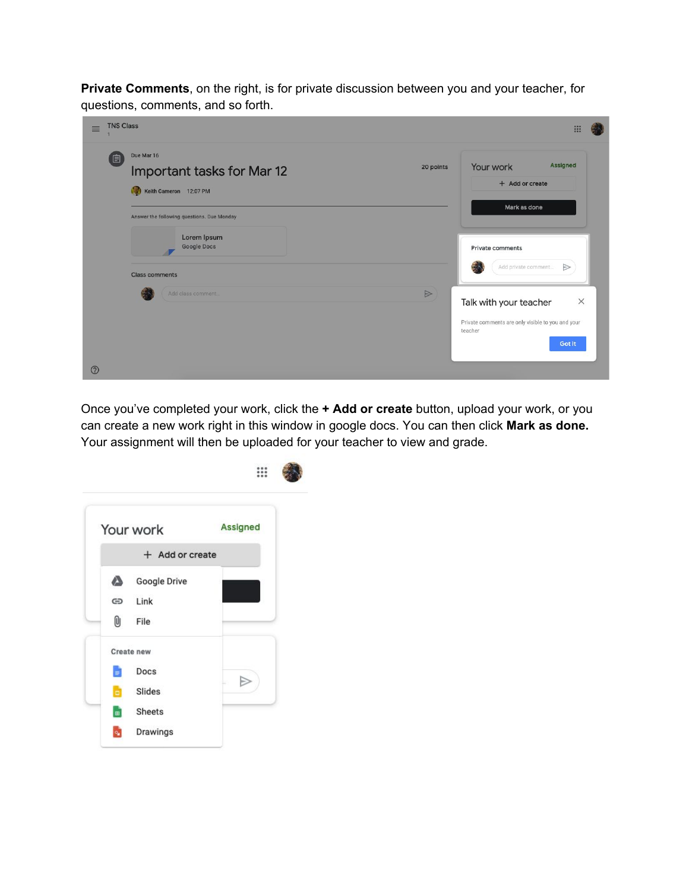**Private Comments**, on the right, is for private discussion between you and your teacher, for questions, comments, and so forth.

| <b>TNS Class</b><br>$\equiv$               | $\frac{1}{2}$                                                                                                                    |
|--------------------------------------------|----------------------------------------------------------------------------------------------------------------------------------|
| Due Mar 16                                 | Assigned                                                                                                                         |
| é                                          | Your work                                                                                                                        |
| Important tasks for Mar 12                 | 20 points                                                                                                                        |
| Keith Cameron 12:07 PM                     | + Add or create                                                                                                                  |
| Answer the following questions. Due Monday | Mark as done                                                                                                                     |
| Lorem Ipsum                                | <b>Private comments</b>                                                                                                          |
| <b>Google Docs</b>                         | Add private comment                                                                                                              |
| <b>Class comments</b>                      | $\Rightarrow$                                                                                                                    |
| Add class comment<br>$^{\circledR}$        | $\triangleright$<br>$\times$<br>Talk with your teacher<br>Private comments are only visible to you and your<br>teacher<br>Got it |

Once you've completed your work, click the **+ Add or create** button, upload your work, or you can create a new work right in this window in google docs. You can then click **Mark as done.** Your assignment will then be uploaded for your teacher to view and grade.

|             | Your work                    | <b>Assigned</b> |  |
|-------------|------------------------------|-----------------|--|
|             | + Add or create              |                 |  |
| ۵<br>⊝<br>0 | Google Drive<br>Link<br>File |                 |  |
|             | Create new                   |                 |  |
| Ξ           | Docs                         |                 |  |
| ы           | Slides                       |                 |  |
| œ           | Sheets                       |                 |  |
| ٩           | Drawings                     |                 |  |